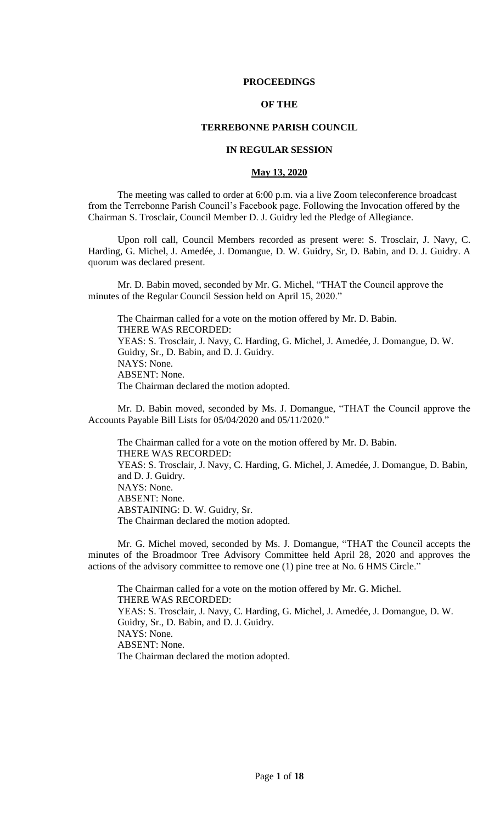## **PROCEEDINGS**

## **OF THE**

# **TERREBONNE PARISH COUNCIL**

### **IN REGULAR SESSION**

#### **May 13, 2020**

The meeting was called to order at 6:00 p.m. via a live Zoom teleconference broadcast from the Terrebonne Parish Council's Facebook page. Following the Invocation offered by the Chairman S. Trosclair, Council Member D. J. Guidry led the Pledge of Allegiance.

Upon roll call, Council Members recorded as present were: S. Trosclair, J. Navy, C. Harding, G. Michel, J. Amedée, J. Domangue, D. W. Guidry, Sr, D. Babin, and D. J. Guidry. A quorum was declared present.

Mr. D. Babin moved, seconded by Mr. G. Michel, "THAT the Council approve the minutes of the Regular Council Session held on April 15, 2020."

The Chairman called for a vote on the motion offered by Mr. D. Babin. THERE WAS RECORDED: YEAS: S. Trosclair, J. Navy, C. Harding, G. Michel, J. Amedée, J. Domangue, D. W. Guidry, Sr., D. Babin, and D. J. Guidry. NAYS: None. ABSENT: None. The Chairman declared the motion adopted.

Mr. D. Babin moved, seconded by Ms. J. Domangue, "THAT the Council approve the Accounts Payable Bill Lists for 05/04/2020 and 05/11/2020."

The Chairman called for a vote on the motion offered by Mr. D. Babin. THERE WAS RECORDED: YEAS: S. Trosclair, J. Navy, C. Harding, G. Michel, J. Amedée, J. Domangue, D. Babin, and D. J. Guidry. NAYS: None. ABSENT: None. ABSTAINING: D. W. Guidry, Sr. The Chairman declared the motion adopted.

Mr. G. Michel moved, seconded by Ms. J. Domangue, "THAT the Council accepts the minutes of the Broadmoor Tree Advisory Committee held April 28, 2020 and approves the actions of the advisory committee to remove one (1) pine tree at No. 6 HMS Circle."

The Chairman called for a vote on the motion offered by Mr. G. Michel. THERE WAS RECORDED: YEAS: S. Trosclair, J. Navy, C. Harding, G. Michel, J. Amedée, J. Domangue, D. W. Guidry, Sr., D. Babin, and D. J. Guidry. NAYS: None. ABSENT: None. The Chairman declared the motion adopted.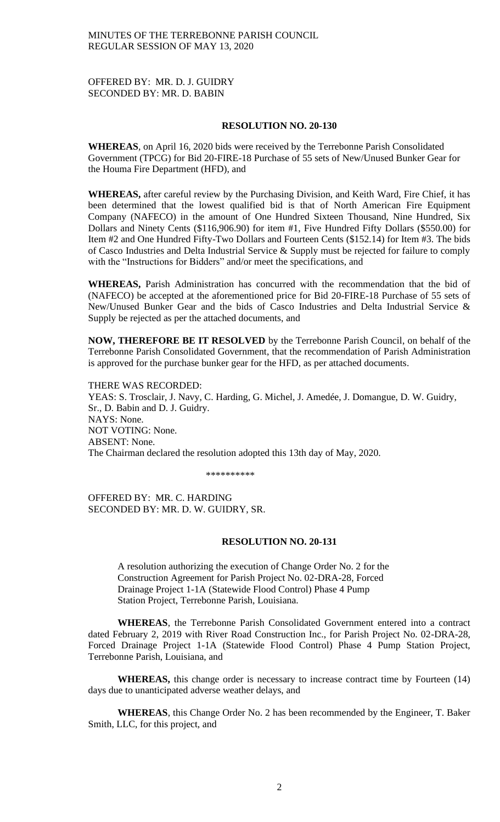OFFERED BY: MR. D. J. GUIDRY SECONDED BY: MR. D. BABIN

#### **RESOLUTION NO. 20-130**

**WHEREAS***,* on April 16, 2020 bids were received by the Terrebonne Parish Consolidated Government (TPCG) for Bid 20-FIRE-18 Purchase of 55 sets of New/Unused Bunker Gear for the Houma Fire Department (HFD), and

**WHEREAS,** after careful review by the Purchasing Division, and Keith Ward, Fire Chief, it has been determined that the lowest qualified bid is that of North American Fire Equipment Company (NAFECO) in the amount of One Hundred Sixteen Thousand, Nine Hundred, Six Dollars and Ninety Cents (\$116,906.90) for item #1, Five Hundred Fifty Dollars (\$550.00) for Item #2 and One Hundred Fifty-Two Dollars and Fourteen Cents (\$152.14) for Item #3. The bids of Casco Industries and Delta Industrial Service & Supply must be rejected for failure to comply with the "Instructions for Bidders" and/or meet the specifications, and

**WHEREAS,** Parish Administration has concurred with the recommendation that the bid of (NAFECO) be accepted at the aforementioned price for Bid 20-FIRE-18 Purchase of 55 sets of New/Unused Bunker Gear and the bids of Casco Industries and Delta Industrial Service & Supply be rejected as per the attached documents, and

**NOW, THEREFORE BE IT RESOLVED** by the Terrebonne Parish Council, on behalf of the Terrebonne Parish Consolidated Government, that the recommendation of Parish Administration is approved for the purchase bunker gear for the HFD, as per attached documents.

THERE WAS RECORDED: YEAS: S. Trosclair, J. Navy, C. Harding, G. Michel, J. Amedée, J. Domangue, D. W. Guidry, Sr., D. Babin and D. J. Guidry. NAYS: None. NOT VOTING: None. ABSENT: None. The Chairman declared the resolution adopted this 13th day of May, 2020.

\*\*\*\*\*\*\*\*\*\*

OFFERED BY: MR. C. HARDING SECONDED BY: MR. D. W. GUIDRY, SR.

#### **RESOLUTION NO. 20-131**

A resolution authorizing the execution of Change Order No. 2 for the Construction Agreement for Parish Project No. 02-DRA-28, Forced Drainage Project 1-1A (Statewide Flood Control) Phase 4 Pump Station Project, Terrebonne Parish, Louisiana.

**WHEREAS**, the Terrebonne Parish Consolidated Government entered into a contract dated February 2, 2019 with River Road Construction Inc., for Parish Project No. 02-DRA-28, Forced Drainage Project 1-1A (Statewide Flood Control) Phase 4 Pump Station Project, Terrebonne Parish, Louisiana, and

**WHEREAS,** this change order is necessary to increase contract time by Fourteen (14) days due to unanticipated adverse weather delays, and

**WHEREAS**, this Change Order No. 2 has been recommended by the Engineer, T. Baker Smith, LLC, for this project, and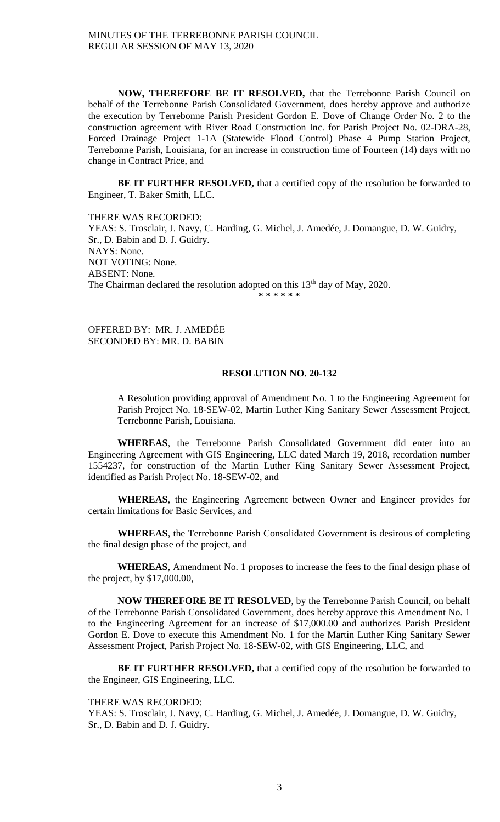**NOW, THEREFORE BE IT RESOLVED,** that the Terrebonne Parish Council on behalf of the Terrebonne Parish Consolidated Government, does hereby approve and authorize the execution by Terrebonne Parish President Gordon E. Dove of Change Order No. 2 to the construction agreement with River Road Construction Inc. for Parish Project No. 02-DRA-28, Forced Drainage Project 1-1A (Statewide Flood Control) Phase 4 Pump Station Project, Terrebonne Parish, Louisiana, for an increase in construction time of Fourteen (14) days with no change in Contract Price, and

**BE IT FURTHER RESOLVED,** that a certified copy of the resolution be forwarded to Engineer, T. Baker Smith, LLC.

THERE WAS RECORDED: YEAS: S. Trosclair, J. Navy, C. Harding, G. Michel, J. Amedée, J. Domangue, D. W. Guidry, Sr., D. Babin and D. J. Guidry. NAYS: None. NOT VOTING: None. ABSENT: None. The Chairman declared the resolution adopted on this  $13<sup>th</sup>$  day of May, 2020. **\* \* \* \* \* \***

OFFERED BY: MR. J. AMEDĖE SECONDED BY: MR. D. BABIN

# **RESOLUTION NO. 20-132**

A Resolution providing approval of Amendment No. 1 to the Engineering Agreement for Parish Project No. 18-SEW-02, Martin Luther King Sanitary Sewer Assessment Project, Terrebonne Parish, Louisiana.

**WHEREAS**, the Terrebonne Parish Consolidated Government did enter into an Engineering Agreement with GIS Engineering, LLC dated March 19, 2018, recordation number 1554237, for construction of the Martin Luther King Sanitary Sewer Assessment Project, identified as Parish Project No. 18-SEW-02, and

**WHEREAS**, the Engineering Agreement between Owner and Engineer provides for certain limitations for Basic Services, and

**WHEREAS**, the Terrebonne Parish Consolidated Government is desirous of completing the final design phase of the project, and

**WHEREAS**, Amendment No. 1 proposes to increase the fees to the final design phase of the project, by \$17,000.00,

**NOW THEREFORE BE IT RESOLVED**, by the Terrebonne Parish Council, on behalf of the Terrebonne Parish Consolidated Government, does hereby approve this Amendment No. 1 to the Engineering Agreement for an increase of \$17,000.00 and authorizes Parish President Gordon E. Dove to execute this Amendment No. 1 for the Martin Luther King Sanitary Sewer Assessment Project, Parish Project No. 18-SEW-02, with GIS Engineering, LLC, and

**BE IT FURTHER RESOLVED,** that a certified copy of the resolution be forwarded to the Engineer, GIS Engineering, LLC.

#### THERE WAS RECORDED:

YEAS: S. Trosclair, J. Navy, C. Harding, G. Michel, J. Amedée, J. Domangue, D. W. Guidry, Sr., D. Babin and D. J. Guidry.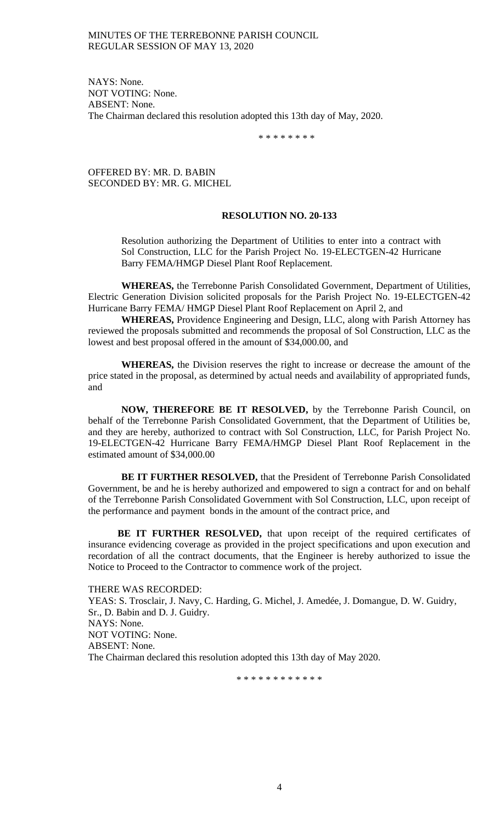NAYS: None. NOT VOTING: None. ABSENT: None. The Chairman declared this resolution adopted this 13th day of May, 2020.

\* \* \* \* \* \* \* \*

OFFERED BY: MR. D. BABIN SECONDED BY: MR. G. MICHEL

#### **RESOLUTION NO. 20-133**

Resolution authorizing the Department of Utilities to enter into a contract with Sol Construction, LLC for the Parish Project No. 19-ELECTGEN-42 Hurricane Barry FEMA/HMGP Diesel Plant Roof Replacement.

**WHEREAS,** the Terrebonne Parish Consolidated Government, Department of Utilities, Electric Generation Division solicited proposals for the Parish Project No. 19-ELECTGEN-42 Hurricane Barry FEMA/ HMGP Diesel Plant Roof Replacement on April 2, and

**WHEREAS,** Providence Engineering and Design, LLC, along with Parish Attorney has reviewed the proposals submitted and recommends the proposal of Sol Construction, LLC as the lowest and best proposal offered in the amount of \$34,000.00, and

**WHEREAS,** the Division reserves the right to increase or decrease the amount of the price stated in the proposal, as determined by actual needs and availability of appropriated funds, and

**NOW, THEREFORE BE IT RESOLVED,** by the Terrebonne Parish Council, on behalf of the Terrebonne Parish Consolidated Government, that the Department of Utilities be, and they are hereby, authorized to contract with Sol Construction, LLC, for Parish Project No. 19-ELECTGEN-42 Hurricane Barry FEMA/HMGP Diesel Plant Roof Replacement in the estimated amount of \$34,000.00

**BE IT FURTHER RESOLVED,** that the President of Terrebonne Parish Consolidated Government, be and he is hereby authorized and empowered to sign a contract for and on behalf of the Terrebonne Parish Consolidated Government with Sol Construction, LLC, upon receipt of the performance and payment bonds in the amount of the contract price, and

**BE IT FURTHER RESOLVED,** that upon receipt of the required certificates of insurance evidencing coverage as provided in the project specifications and upon execution and recordation of all the contract documents, that the Engineer is hereby authorized to issue the Notice to Proceed to the Contractor to commence work of the project.

THERE WAS RECORDED: YEAS: S. Trosclair, J. Navy, C. Harding, G. Michel, J. Amedée, J. Domangue, D. W. Guidry, Sr., D. Babin and D. J. Guidry. NAYS: None. NOT VOTING: None. ABSENT: None. The Chairman declared this resolution adopted this 13th day of May 2020.

\* \* \* \* \* \* \* \* \* \* \* \*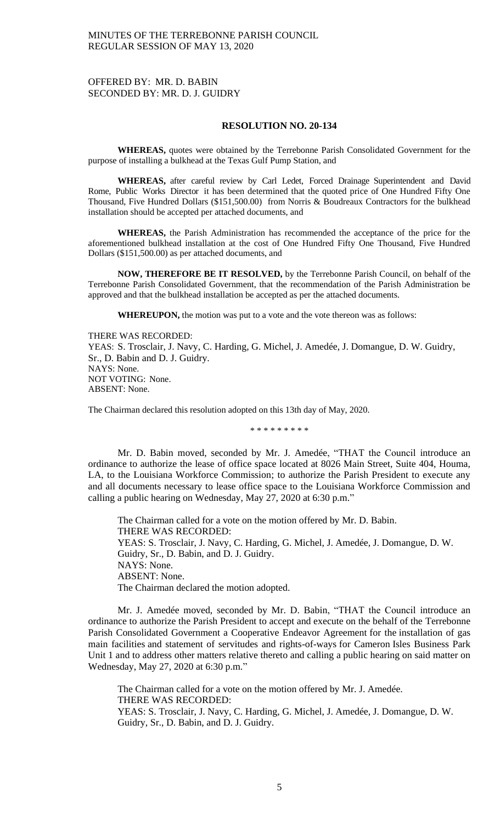## OFFERED BY: MR. D. BABIN SECONDED BY: MR. D. J. GUIDRY

#### **RESOLUTION NO. 20-134**

**WHEREAS,** quotes were obtained by the Terrebonne Parish Consolidated Government for the purpose of installing a bulkhead at the Texas Gulf Pump Station, and

**WHEREAS,** after careful review by Carl Ledet, Forced Drainage Superintendent and David Rome, Public Works Director it has been determined that the quoted price of One Hundred Fifty One Thousand, Five Hundred Dollars (\$151,500.00) from Norris & Boudreaux Contractors for the bulkhead installation should be accepted per attached documents, and

**WHEREAS,** the Parish Administration has recommended the acceptance of the price for the aforementioned bulkhead installation at the cost of One Hundred Fifty One Thousand, Five Hundred Dollars (\$151,500.00) as per attached documents, and

**NOW, THEREFORE BE IT RESOLVED,** by the Terrebonne Parish Council, on behalf of the Terrebonne Parish Consolidated Government, that the recommendation of the Parish Administration be approved and that the bulkhead installation be accepted as per the attached documents.

**WHEREUPON,** the motion was put to a vote and the vote thereon was as follows:

THERE WAS RECORDED: YEAS: S. Trosclair, J. Navy, C. Harding, G. Michel, J. Amedée, J. Domangue, D. W. Guidry, Sr., D. Babin and D. J. Guidry. NAYS: None. NOT VOTING: None. ABSENT: None.

The Chairman declared this resolution adopted on this 13th day of May, 2020.

\* \* \* \* \* \* \* \* \*

Mr. D. Babin moved, seconded by Mr. J. Amedée, "THAT the Council introduce an ordinance to authorize the lease of office space located at 8026 Main Street, Suite 404, Houma, LA, to the Louisiana Workforce Commission; to authorize the Parish President to execute any and all documents necessary to lease office space to the Louisiana Workforce Commission and calling a public hearing on Wednesday, May 27, 2020 at 6:30 p.m."

The Chairman called for a vote on the motion offered by Mr. D. Babin. THERE WAS RECORDED: YEAS: S. Trosclair, J. Navy, C. Harding, G. Michel, J. Amedée, J. Domangue, D. W. Guidry, Sr., D. Babin, and D. J. Guidry. NAYS: None. ABSENT: None. The Chairman declared the motion adopted.

Mr. J. Amedée moved, seconded by Mr. D. Babin, "THAT the Council introduce an ordinance to authorize the Parish President to accept and execute on the behalf of the Terrebonne Parish Consolidated Government a Cooperative Endeavor Agreement for the installation of gas main facilities and statement of servitudes and rights-of-ways for Cameron Isles Business Park Unit 1 and to address other matters relative thereto and calling a public hearing on said matter on Wednesday, May 27, 2020 at 6:30 p.m."

The Chairman called for a vote on the motion offered by Mr. J. Amedée. THERE WAS RECORDED: YEAS: S. Trosclair, J. Navy, C. Harding, G. Michel, J. Amedée, J. Domangue, D. W.

Guidry, Sr., D. Babin, and D. J. Guidry.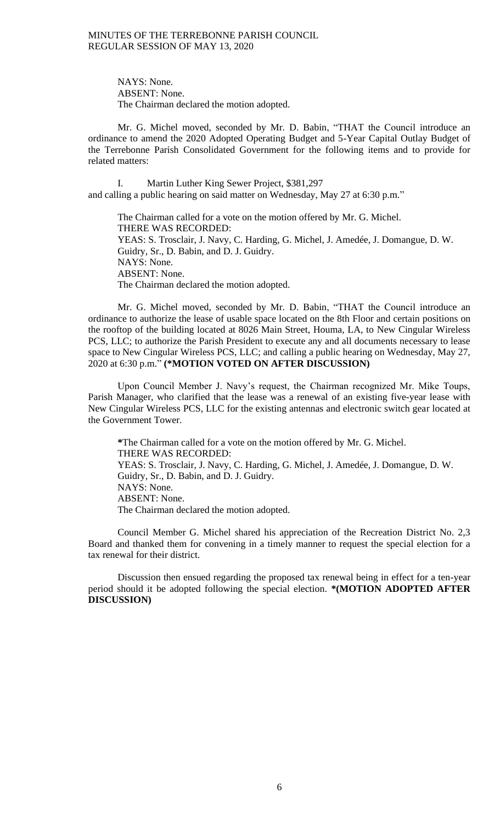> NAYS: None. ABSENT: None. The Chairman declared the motion adopted.

Mr. G. Michel moved, seconded by Mr. D. Babin, "THAT the Council introduce an ordinance to amend the 2020 Adopted Operating Budget and 5-Year Capital Outlay Budget of the Terrebonne Parish Consolidated Government for the following items and to provide for related matters:

I. Martin Luther King Sewer Project, \$381,297 and calling a public hearing on said matter on Wednesday, May 27 at 6:30 p.m."

The Chairman called for a vote on the motion offered by Mr. G. Michel. THERE WAS RECORDED: YEAS: S. Trosclair, J. Navy, C. Harding, G. Michel, J. Amedée, J. Domangue, D. W. Guidry, Sr., D. Babin, and D. J. Guidry. NAYS: None. ABSENT: None. The Chairman declared the motion adopted.

Mr. G. Michel moved, seconded by Mr. D. Babin, "THAT the Council introduce an ordinance to authorize the lease of usable space located on the 8th Floor and certain positions on the rooftop of the building located at 8026 Main Street, Houma, LA, to New Cingular Wireless PCS, LLC; to authorize the Parish President to execute any and all documents necessary to lease space to New Cingular Wireless PCS, LLC; and calling a public hearing on Wednesday, May 27, 2020 at 6:30 p.m." **(\*MOTION VOTED ON AFTER DISCUSSION)**

Upon Council Member J. Navy's request, the Chairman recognized Mr. Mike Toups, Parish Manager, who clarified that the lease was a renewal of an existing five-year lease with New Cingular Wireless PCS, LLC for the existing antennas and electronic switch gear located at the Government Tower.

**\***The Chairman called for a vote on the motion offered by Mr. G. Michel. THERE WAS RECORDED: YEAS: S. Trosclair, J. Navy, C. Harding, G. Michel, J. Amedée, J. Domangue, D. W. Guidry, Sr., D. Babin, and D. J. Guidry. NAYS: None. ABSENT: None. The Chairman declared the motion adopted.

Council Member G. Michel shared his appreciation of the Recreation District No. 2,3 Board and thanked them for convening in a timely manner to request the special election for a tax renewal for their district.

Discussion then ensued regarding the proposed tax renewal being in effect for a ten-year period should it be adopted following the special election. **\*(MOTION ADOPTED AFTER DISCUSSION)**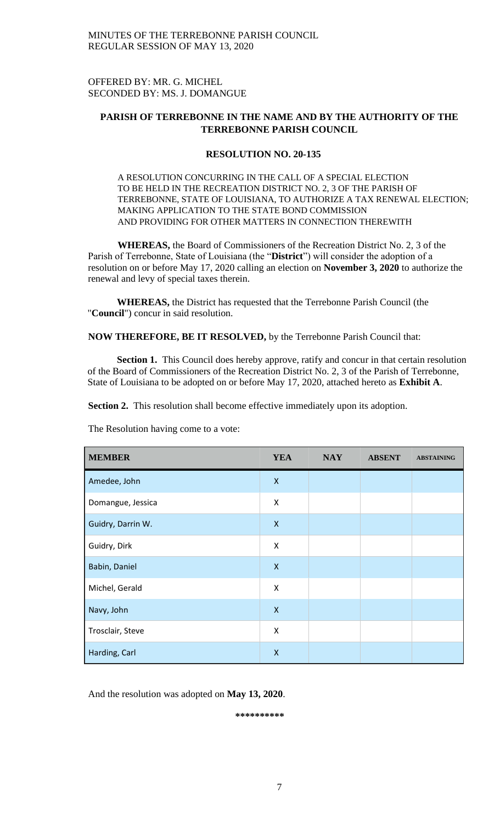OFFERED BY: MR. G. MICHEL SECONDED BY: MS. J. DOMANGUE

# **PARISH OF TERREBONNE IN THE NAME AND BY THE AUTHORITY OF THE TERREBONNE PARISH COUNCIL**

## **RESOLUTION NO. 20-135**

A RESOLUTION CONCURRING IN THE CALL OF A SPECIAL ELECTION TO BE HELD IN THE RECREATION DISTRICT NO. 2, 3 OF THE PARISH OF TERREBONNE, STATE OF LOUISIANA, TO AUTHORIZE A TAX RENEWAL ELECTION; MAKING APPLICATION TO THE STATE BOND COMMISSION AND PROVIDING FOR OTHER MATTERS IN CONNECTION THEREWITH

**WHEREAS,** the Board of Commissioners of the Recreation District No. 2, 3 of the Parish of Terrebonne, State of Louisiana (the "**District**") will consider the adoption of a resolution on or before May 17, 2020 calling an election on **November 3, 2020** to authorize the renewal and levy of special taxes therein.

**WHEREAS,** the District has requested that the Terrebonne Parish Council (the "**Council**") concur in said resolution.

**NOW THEREFORE, BE IT RESOLVED,** by the Terrebonne Parish Council that:

**Section 1.** This Council does hereby approve, ratify and concur in that certain resolution of the Board of Commissioners of the Recreation District No. 2, 3 of the Parish of Terrebonne, State of Louisiana to be adopted on or before May 17, 2020, attached hereto as **Exhibit A**.

**Section 2.** This resolution shall become effective immediately upon its adoption.

| <b>MEMBER</b>     | <b>YEA</b>         | <b>NAY</b> | <b>ABSENT</b> | <b>ABSTAINING</b> |
|-------------------|--------------------|------------|---------------|-------------------|
| Amedee, John      | $\pmb{\mathsf{X}}$ |            |               |                   |
| Domangue, Jessica | X                  |            |               |                   |
| Guidry, Darrin W. | $\pmb{\mathsf{X}}$ |            |               |                   |
| Guidry, Dirk      | X                  |            |               |                   |
| Babin, Daniel     | X                  |            |               |                   |
| Michel, Gerald    | Χ                  |            |               |                   |
| Navy, John        | $\pmb{\mathsf{X}}$ |            |               |                   |
| Trosclair, Steve  | Χ                  |            |               |                   |
| Harding, Carl     | $\pmb{\mathsf{X}}$ |            |               |                   |

The Resolution having come to a vote:

And the resolution was adopted on **May 13, 2020**.

**\*\*\*\*\*\*\*\*\*\***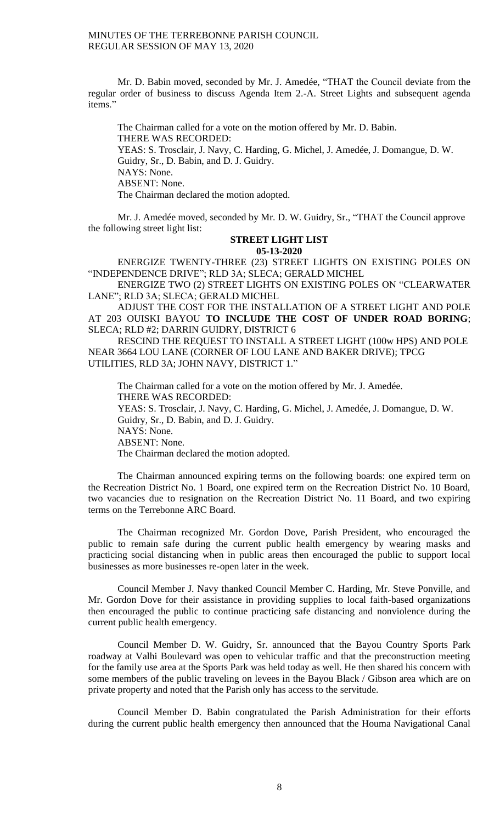Mr. D. Babin moved, seconded by Mr. J. Amedée, "THAT the Council deviate from the regular order of business to discuss Agenda Item 2.-A. Street Lights and subsequent agenda items."

The Chairman called for a vote on the motion offered by Mr. D. Babin. THERE WAS RECORDED: YEAS: S. Trosclair, J. Navy, C. Harding, G. Michel, J. Amedée, J. Domangue, D. W. Guidry, Sr., D. Babin, and D. J. Guidry. NAYS: None. ABSENT: None. The Chairman declared the motion adopted.

Mr. J. Amedée moved, seconded by Mr. D. W. Guidry, Sr., "THAT the Council approve the following street light list:

### **STREET LIGHT LIST 05-13-2020**

ENERGIZE TWENTY-THREE (23) STREET LIGHTS ON EXISTING POLES ON "INDEPENDENCE DRIVE"; RLD 3A; SLECA; GERALD MICHEL

ENERGIZE TWO (2) STREET LIGHTS ON EXISTING POLES ON "CLEARWATER LANE"; RLD 3A; SLECA; GERALD MICHEL

ADJUST THE COST FOR THE INSTALLATION OF A STREET LIGHT AND POLE AT 203 OUISKI BAYOU **TO INCLUDE THE COST OF UNDER ROAD BORING**; SLECA; RLD #2; DARRIN GUIDRY, DISTRICT 6

RESCIND THE REQUEST TO INSTALL A STREET LIGHT (100w HPS) AND POLE NEAR 3664 LOU LANE (CORNER OF LOU LANE AND BAKER DRIVE); TPCG UTILITIES, RLD 3A; JOHN NAVY, DISTRICT 1."

The Chairman called for a vote on the motion offered by Mr. J. Amedée. THERE WAS RECORDED: YEAS: S. Trosclair, J. Navy, C. Harding, G. Michel, J. Amedée, J. Domangue, D. W. Guidry, Sr., D. Babin, and D. J. Guidry. NAYS: None. ABSENT: None. The Chairman declared the motion adopted.

The Chairman announced expiring terms on the following boards: one expired term on the Recreation District No. 1 Board, one expired term on the Recreation District No. 10 Board, two vacancies due to resignation on the Recreation District No. 11 Board, and two expiring terms on the Terrebonne ARC Board.

The Chairman recognized Mr. Gordon Dove, Parish President, who encouraged the public to remain safe during the current public health emergency by wearing masks and practicing social distancing when in public areas then encouraged the public to support local businesses as more businesses re-open later in the week.

Council Member J. Navy thanked Council Member C. Harding, Mr. Steve Ponville, and Mr. Gordon Dove for their assistance in providing supplies to local faith-based organizations then encouraged the public to continue practicing safe distancing and nonviolence during the current public health emergency.

Council Member D. W. Guidry, Sr. announced that the Bayou Country Sports Park roadway at Valhi Boulevard was open to vehicular traffic and that the preconstruction meeting for the family use area at the Sports Park was held today as well. He then shared his concern with some members of the public traveling on levees in the Bayou Black / Gibson area which are on private property and noted that the Parish only has access to the servitude.

Council Member D. Babin congratulated the Parish Administration for their efforts during the current public health emergency then announced that the Houma Navigational Canal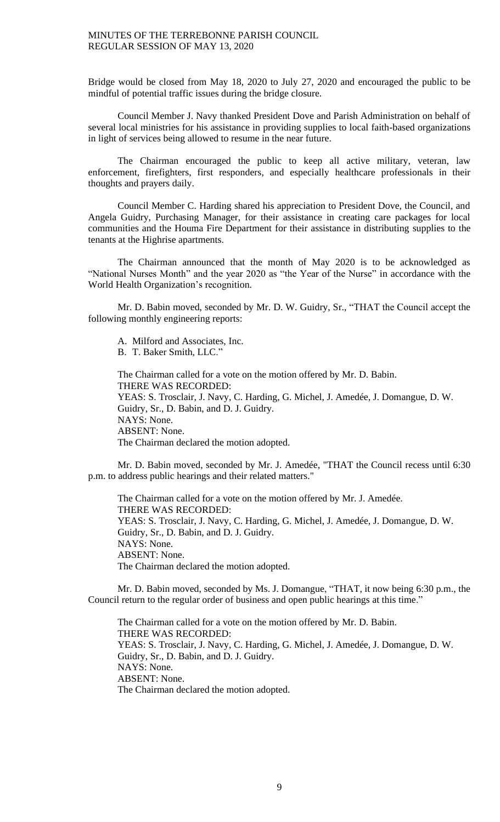Bridge would be closed from May 18, 2020 to July 27, 2020 and encouraged the public to be mindful of potential traffic issues during the bridge closure.

Council Member J. Navy thanked President Dove and Parish Administration on behalf of several local ministries for his assistance in providing supplies to local faith-based organizations in light of services being allowed to resume in the near future.

The Chairman encouraged the public to keep all active military, veteran, law enforcement, firefighters, first responders, and especially healthcare professionals in their thoughts and prayers daily.

Council Member C. Harding shared his appreciation to President Dove, the Council, and Angela Guidry, Purchasing Manager, for their assistance in creating care packages for local communities and the Houma Fire Department for their assistance in distributing supplies to the tenants at the Highrise apartments.

The Chairman announced that the month of May 2020 is to be acknowledged as "National Nurses Month" and the year 2020 as "the Year of the Nurse" in accordance with the World Health Organization's recognition.

Mr. D. Babin moved, seconded by Mr. D. W. Guidry, Sr., "THAT the Council accept the following monthly engineering reports:

A. Milford and Associates, Inc. B. T. Baker Smith, LLC."

The Chairman called for a vote on the motion offered by Mr. D. Babin. THERE WAS RECORDED: YEAS: S. Trosclair, J. Navy, C. Harding, G. Michel, J. Amedée, J. Domangue, D. W. Guidry, Sr., D. Babin, and D. J. Guidry. NAYS: None. ABSENT: None. The Chairman declared the motion adopted.

Mr. D. Babin moved, seconded by Mr. J. Amedée, "THAT the Council recess until 6:30 p.m. to address public hearings and their related matters."

The Chairman called for a vote on the motion offered by Mr. J. Amedée. THERE WAS RECORDED: YEAS: S. Trosclair, J. Navy, C. Harding, G. Michel, J. Amedée, J. Domangue, D. W. Guidry, Sr., D. Babin, and D. J. Guidry. NAYS: None. ABSENT: None. The Chairman declared the motion adopted.

Mr. D. Babin moved, seconded by Ms. J. Domangue, "THAT, it now being 6:30 p.m., the Council return to the regular order of business and open public hearings at this time."

The Chairman called for a vote on the motion offered by Mr. D. Babin. THERE WAS RECORDED: YEAS: S. Trosclair, J. Navy, C. Harding, G. Michel, J. Amedée, J. Domangue, D. W. Guidry, Sr., D. Babin, and D. J. Guidry. NAYS: None. ABSENT: None. The Chairman declared the motion adopted.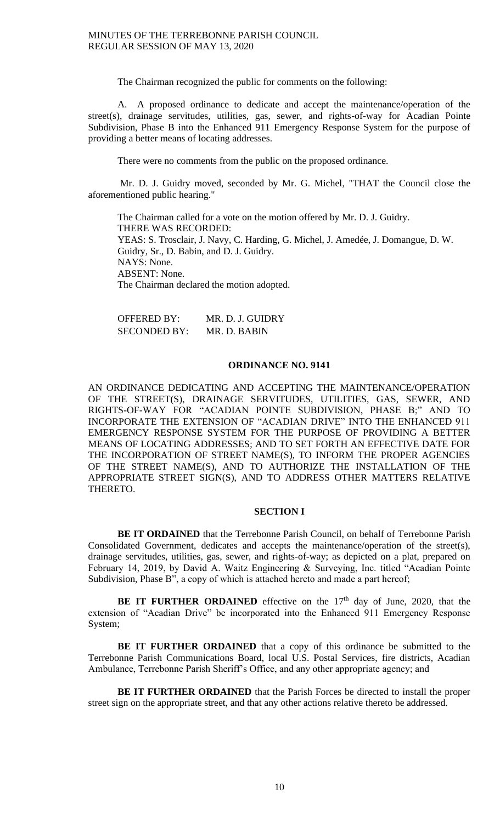The Chairman recognized the public for comments on the following:

A. A proposed ordinance to dedicate and accept the maintenance/operation of the street(s), drainage servitudes, utilities, gas, sewer, and rights-of-way for Acadian Pointe Subdivision, Phase B into the Enhanced 911 Emergency Response System for the purpose of providing a better means of locating addresses.

There were no comments from the public on the proposed ordinance.

Mr. D. J. Guidry moved, seconded by Mr. G. Michel, "THAT the Council close the aforementioned public hearing."

The Chairman called for a vote on the motion offered by Mr. D. J. Guidry. THERE WAS RECORDED: YEAS: S. Trosclair, J. Navy, C. Harding, G. Michel, J. Amedée, J. Domangue, D. W. Guidry, Sr., D. Babin, and D. J. Guidry. NAYS: None. ABSENT: None. The Chairman declared the motion adopted.

| <b>OFFERED BY:</b>  | MR. D. J. GUIDRY |
|---------------------|------------------|
| <b>SECONDED BY:</b> | MR. D. BABIN     |

## **ORDINANCE NO. 9141**

AN ORDINANCE DEDICATING AND ACCEPTING THE MAINTENANCE/OPERATION OF THE STREET(S), DRAINAGE SERVITUDES, UTILITIES, GAS, SEWER, AND RIGHTS-OF-WAY FOR "ACADIAN POINTE SUBDIVISION, PHASE B;" AND TO INCORPORATE THE EXTENSION OF "ACADIAN DRIVE" INTO THE ENHANCED 911 EMERGENCY RESPONSE SYSTEM FOR THE PURPOSE OF PROVIDING A BETTER MEANS OF LOCATING ADDRESSES; AND TO SET FORTH AN EFFECTIVE DATE FOR THE INCORPORATION OF STREET NAME(S), TO INFORM THE PROPER AGENCIES OF THE STREET NAME(S), AND TO AUTHORIZE THE INSTALLATION OF THE APPROPRIATE STREET SIGN(S), AND TO ADDRESS OTHER MATTERS RELATIVE THERETO.

## **SECTION I**

**BE IT ORDAINED** that the Terrebonne Parish Council, on behalf of Terrebonne Parish Consolidated Government, dedicates and accepts the maintenance/operation of the street(s), drainage servitudes, utilities, gas, sewer, and rights-of-way; as depicted on a plat, prepared on February 14, 2019, by David A. Waitz Engineering & Surveying, Inc. titled "Acadian Pointe Subdivision, Phase B", a copy of which is attached hereto and made a part hereof;

**BE IT FURTHER ORDAINED** effective on the  $17<sup>th</sup>$  day of June, 2020, that the extension of "Acadian Drive" be incorporated into the Enhanced 911 Emergency Response System;

**BE IT FURTHER ORDAINED** that a copy of this ordinance be submitted to the Terrebonne Parish Communications Board, local U.S. Postal Services, fire districts, Acadian Ambulance, Terrebonne Parish Sheriff's Office, and any other appropriate agency; and

**BE IT FURTHER ORDAINED** that the Parish Forces be directed to install the proper street sign on the appropriate street, and that any other actions relative thereto be addressed.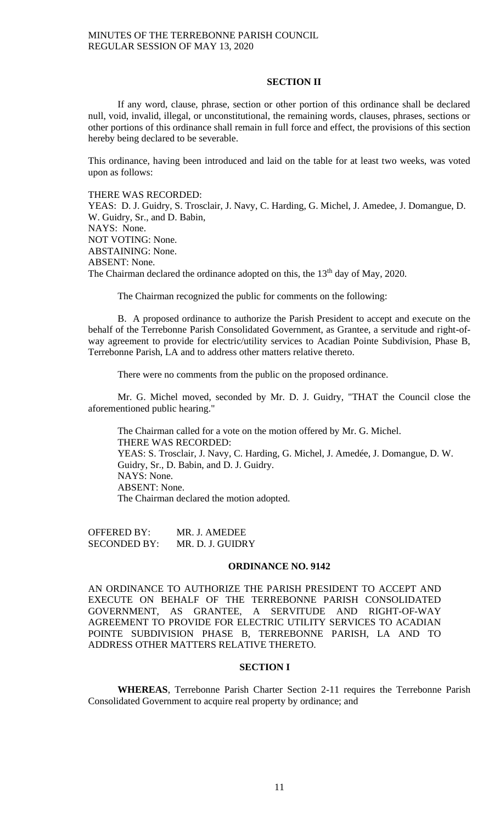## **SECTION II**

If any word, clause, phrase, section or other portion of this ordinance shall be declared null, void, invalid, illegal, or unconstitutional, the remaining words, clauses, phrases, sections or other portions of this ordinance shall remain in full force and effect, the provisions of this section hereby being declared to be severable.

This ordinance, having been introduced and laid on the table for at least two weeks, was voted upon as follows:

THERE WAS RECORDED:

YEAS: D. J. Guidry, S. Trosclair, J. Navy, C. Harding, G. Michel, J. Amedee, J. Domangue, D. W. Guidry, Sr., and D. Babin, NAYS: None. NOT VOTING: None. ABSTAINING: None. ABSENT: None. The Chairman declared the ordinance adopted on this, the 13<sup>th</sup> day of May, 2020.

The Chairman recognized the public for comments on the following:

B. A proposed ordinance to authorize the Parish President to accept and execute on the behalf of the Terrebonne Parish Consolidated Government, as Grantee, a servitude and right-ofway agreement to provide for electric/utility services to Acadian Pointe Subdivision, Phase B, Terrebonne Parish, LA and to address other matters relative thereto.

There were no comments from the public on the proposed ordinance.

Mr. G. Michel moved, seconded by Mr. D. J. Guidry, "THAT the Council close the aforementioned public hearing."

The Chairman called for a vote on the motion offered by Mr. G. Michel. THERE WAS RECORDED: YEAS: S. Trosclair, J. Navy, C. Harding, G. Michel, J. Amedée, J. Domangue, D. W. Guidry, Sr., D. Babin, and D. J. Guidry. NAYS: None. ABSENT: None. The Chairman declared the motion adopted.

OFFERED BY: MR. J. AMEDEE SECONDED BY: MR. D. J. GUIDRY

#### **ORDINANCE NO. 9142**

AN ORDINANCE TO AUTHORIZE THE PARISH PRESIDENT TO ACCEPT AND EXECUTE ON BEHALF OF THE TERREBONNE PARISH CONSOLIDATED GOVERNMENT, AS GRANTEE, A SERVITUDE AND RIGHT-OF-WAY AGREEMENT TO PROVIDE FOR ELECTRIC UTILITY SERVICES TO ACADIAN POINTE SUBDIVISION PHASE B, TERREBONNE PARISH, LA AND TO ADDRESS OTHER MATTERS RELATIVE THERETO.

## **SECTION I**

**WHEREAS**, Terrebonne Parish Charter Section 2-11 requires the Terrebonne Parish Consolidated Government to acquire real property by ordinance; and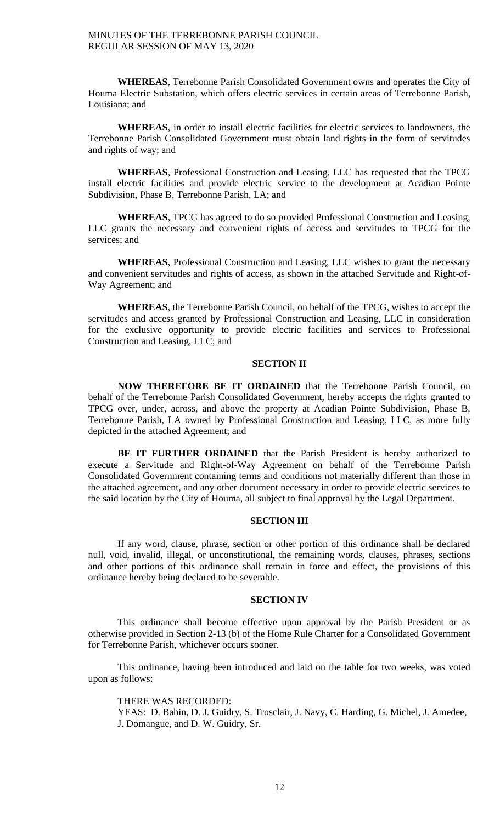**WHEREAS**, Terrebonne Parish Consolidated Government owns and operates the City of Houma Electric Substation, which offers electric services in certain areas of Terrebonne Parish, Louisiana; and

**WHEREAS**, in order to install electric facilities for electric services to landowners, the Terrebonne Parish Consolidated Government must obtain land rights in the form of servitudes and rights of way; and

**WHEREAS**, Professional Construction and Leasing, LLC has requested that the TPCG install electric facilities and provide electric service to the development at Acadian Pointe Subdivision, Phase B, Terrebonne Parish, LA; and

**WHEREAS**, TPCG has agreed to do so provided Professional Construction and Leasing, LLC grants the necessary and convenient rights of access and servitudes to TPCG for the services; and

**WHEREAS**, Professional Construction and Leasing, LLC wishes to grant the necessary and convenient servitudes and rights of access, as shown in the attached Servitude and Right-of-Way Agreement; and

**WHEREAS**, the Terrebonne Parish Council, on behalf of the TPCG, wishes to accept the servitudes and access granted by Professional Construction and Leasing, LLC in consideration for the exclusive opportunity to provide electric facilities and services to Professional Construction and Leasing, LLC; and

#### **SECTION II**

**NOW THEREFORE BE IT ORDAINED** that the Terrebonne Parish Council, on behalf of the Terrebonne Parish Consolidated Government, hereby accepts the rights granted to TPCG over, under, across, and above the property at Acadian Pointe Subdivision, Phase B, Terrebonne Parish, LA owned by Professional Construction and Leasing, LLC, as more fully depicted in the attached Agreement; and

**BE IT FURTHER ORDAINED** that the Parish President is hereby authorized to execute a Servitude and Right-of-Way Agreement on behalf of the Terrebonne Parish Consolidated Government containing terms and conditions not materially different than those in the attached agreement, and any other document necessary in order to provide electric services to the said location by the City of Houma, all subject to final approval by the Legal Department.

## **SECTION III**

If any word, clause, phrase, section or other portion of this ordinance shall be declared null, void, invalid, illegal, or unconstitutional, the remaining words, clauses, phrases, sections and other portions of this ordinance shall remain in force and effect, the provisions of this ordinance hereby being declared to be severable.

### **SECTION IV**

This ordinance shall become effective upon approval by the Parish President or as otherwise provided in Section 2-13 (b) of the Home Rule Charter for a Consolidated Government for Terrebonne Parish, whichever occurs sooner.

This ordinance, having been introduced and laid on the table for two weeks, was voted upon as follows:

THERE WAS RECORDED:

YEAS: D. Babin, D. J. Guidry, S. Trosclair, J. Navy, C. Harding, G. Michel, J. Amedee, J. Domangue, and D. W. Guidry, Sr.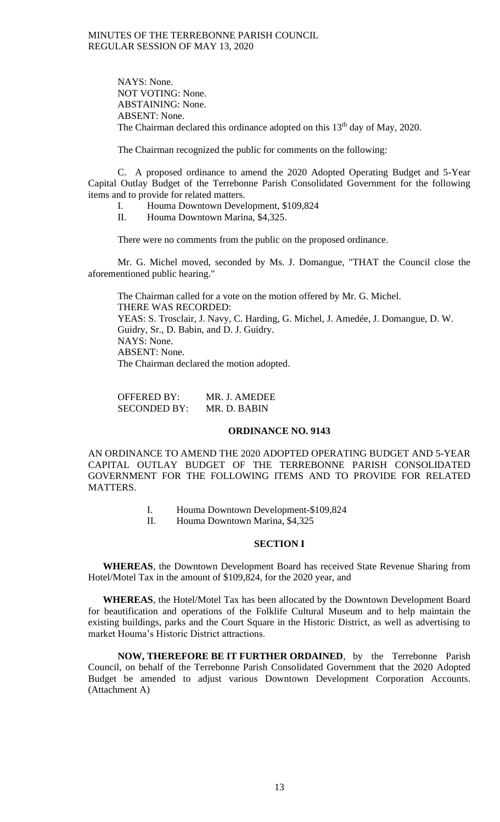NAYS: None. NOT VOTING: None. ABSTAINING: None. ABSENT: None. The Chairman declared this ordinance adopted on this  $13<sup>th</sup>$  day of May, 2020.

The Chairman recognized the public for comments on the following:

C. A proposed ordinance to amend the 2020 Adopted Operating Budget and 5-Year Capital Outlay Budget of the Terrebonne Parish Consolidated Government for the following items and to provide for related matters.

- I. Houma Downtown Development, \$109,824
- II. Houma Downtown Marina, \$4,325.

There were no comments from the public on the proposed ordinance.

Mr. G. Michel moved, seconded by Ms. J. Domangue, "THAT the Council close the aforementioned public hearing."

The Chairman called for a vote on the motion offered by Mr. G. Michel. THERE WAS RECORDED: YEAS: S. Trosclair, J. Navy, C. Harding, G. Michel, J. Amedée, J. Domangue, D. W. Guidry, Sr., D. Babin, and D. J. Guidry. NAYS: None. ABSENT: None. The Chairman declared the motion adopted.

OFFERED BY: MR. J. AMEDEE SECONDED BY: MR. D. BABIN

## **ORDINANCE NO. 9143**

AN ORDINANCE TO AMEND THE 2020 ADOPTED OPERATING BUDGET AND 5-YEAR CAPITAL OUTLAY BUDGET OF THE TERREBONNE PARISH CONSOLIDATED GOVERNMENT FOR THE FOLLOWING ITEMS AND TO PROVIDE FOR RELATED MATTERS.

- I. Houma Downtown Development-\$109,824
- II. Houma Downtown Marina, \$4,325

### **SECTION I**

**WHEREAS**, the Downtown Development Board has received State Revenue Sharing from Hotel/Motel Tax in the amount of \$109,824, for the 2020 year, and

**WHEREAS**, the Hotel/Motel Tax has been allocated by the Downtown Development Board for beautification and operations of the Folklife Cultural Museum and to help maintain the existing buildings, parks and the Court Square in the Historic District, as well as advertising to market Houma's Historic District attractions.

**NOW, THEREFORE BE IT FURTHER ORDAINED**, by the Terrebonne Parish Council, on behalf of the Terrebonne Parish Consolidated Government that the 2020 Adopted Budget be amended to adjust various Downtown Development Corporation Accounts. (Attachment A)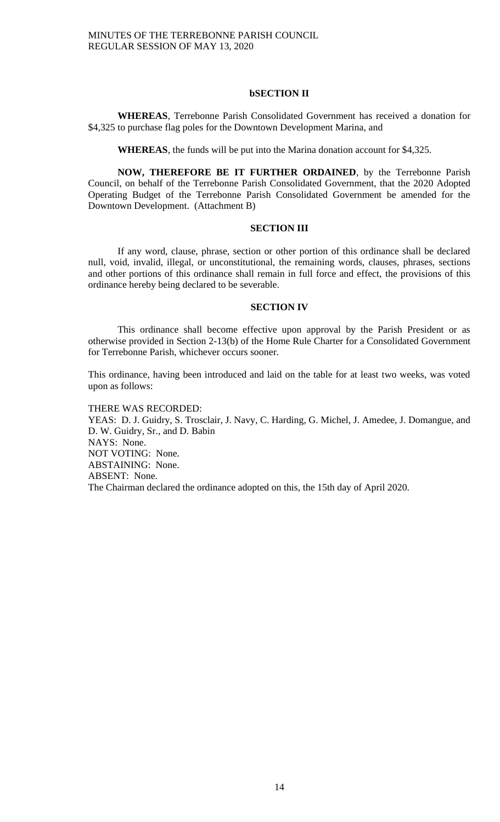### **bSECTION II**

**WHEREAS**, Terrebonne Parish Consolidated Government has received a donation for \$4,325 to purchase flag poles for the Downtown Development Marina, and

**WHEREAS**, the funds will be put into the Marina donation account for \$4,325.

**NOW, THEREFORE BE IT FURTHER ORDAINED**, by the Terrebonne Parish Council, on behalf of the Terrebonne Parish Consolidated Government, that the 2020 Adopted Operating Budget of the Terrebonne Parish Consolidated Government be amended for the Downtown Development. (Attachment B)

## **SECTION III**

If any word, clause, phrase, section or other portion of this ordinance shall be declared null, void, invalid, illegal, or unconstitutional, the remaining words, clauses, phrases, sections and other portions of this ordinance shall remain in full force and effect, the provisions of this ordinance hereby being declared to be severable.

#### **SECTION IV**

This ordinance shall become effective upon approval by the Parish President or as otherwise provided in Section 2-13(b) of the Home Rule Charter for a Consolidated Government for Terrebonne Parish, whichever occurs sooner.

This ordinance, having been introduced and laid on the table for at least two weeks, was voted upon as follows:

THERE WAS RECORDED: YEAS: D. J. Guidry, S. Trosclair, J. Navy, C. Harding, G. Michel, J. Amedee, J. Domangue, and D. W. Guidry, Sr., and D. Babin NAYS: None. NOT VOTING: None. ABSTAINING: None. ABSENT: None. The Chairman declared the ordinance adopted on this, the 15th day of April 2020.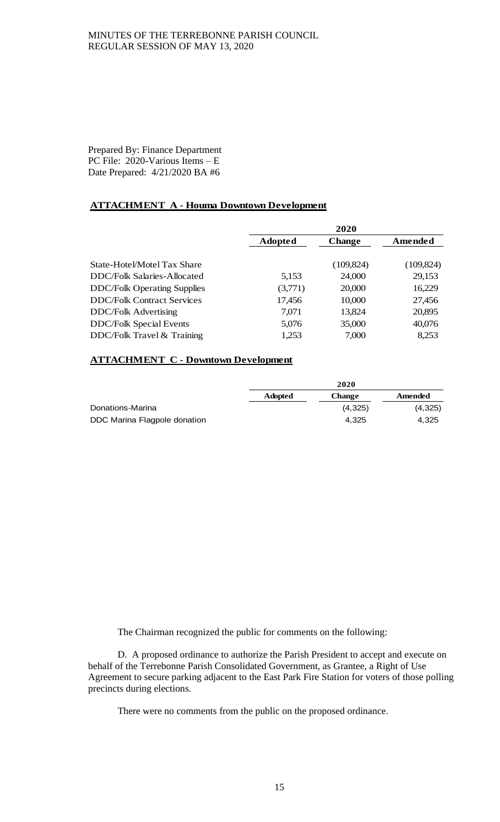Prepared By: Finance Department PC File: 2020-Various Items – E Date Prepared: 4/21/2020 BA #6

# **ATTACHMENT A - Houma Downtown Development**

|                                    | 2020           |               |            |
|------------------------------------|----------------|---------------|------------|
|                                    | <b>Adopted</b> | <b>Change</b> | Amended    |
|                                    |                |               |            |
| State-Hotel/Motel Tax Share        |                | (109, 824)    | (109, 824) |
| DDC/Folk Salaries-Allocated        | 5,153          | 24,000        | 29,153     |
| <b>DDC/Folk Operating Supplies</b> | (3,771)        | 20,000        | 16,229     |
| <b>DDC/Folk Contract Services</b>  | 17,456         | 10,000        | 27,456     |
| <b>DDC/Folk Advertising</b>        | 7,071          | 13,824        | 20,895     |
| <b>DDC/Folk Special Events</b>     | 5,076          | 35,000        | 40,076     |
| DDC/Folk Travel & Training         | 1,253          | 7,000         | 8,253      |

## **ATTACHMENT C - Downtown Development**

|                              |                | 2020          |         |
|------------------------------|----------------|---------------|---------|
|                              | <b>Adopted</b> | <b>Change</b> | Amended |
| Donations-Marina             |                | (4,325)       | (4,325) |
| DDC Marina Flagpole donation |                | 4.325         | 4.325   |

The Chairman recognized the public for comments on the following:

D. A proposed ordinance to authorize the Parish President to accept and execute on behalf of the Terrebonne Parish Consolidated Government, as Grantee, a Right of Use Agreement to secure parking adjacent to the East Park Fire Station for voters of those polling precincts during elections.

There were no comments from the public on the proposed ordinance.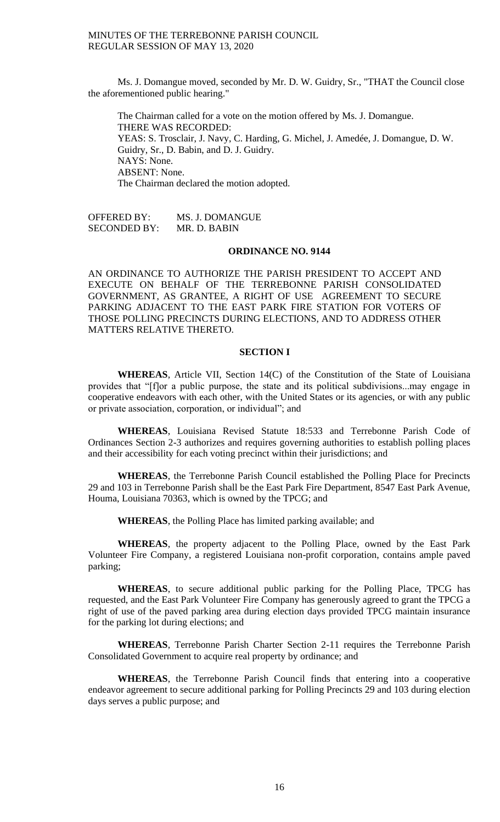Ms. J. Domangue moved, seconded by Mr. D. W. Guidry, Sr., "THAT the Council close the aforementioned public hearing."

The Chairman called for a vote on the motion offered by Ms. J. Domangue. THERE WAS RECORDED: YEAS: S. Trosclair, J. Navy, C. Harding, G. Michel, J. Amedée, J. Domangue, D. W. Guidry, Sr., D. Babin, and D. J. Guidry. NAYS: None. ABSENT: None. The Chairman declared the motion adopted.

OFFERED BY: MS. J. DOMANGUE SECONDED BY: MR. D. BABIN

## **ORDINANCE NO. 9144**

AN ORDINANCE TO AUTHORIZE THE PARISH PRESIDENT TO ACCEPT AND EXECUTE ON BEHALF OF THE TERREBONNE PARISH CONSOLIDATED GOVERNMENT, AS GRANTEE, A RIGHT OF USE AGREEMENT TO SECURE PARKING ADJACENT TO THE EAST PARK FIRE STATION FOR VOTERS OF THOSE POLLING PRECINCTS DURING ELECTIONS, AND TO ADDRESS OTHER MATTERS RELATIVE THERETO.

## **SECTION I**

**WHEREAS**, Article VII, Section 14(C) of the Constitution of the State of Louisiana provides that "[f]or a public purpose, the state and its political subdivisions...may engage in cooperative endeavors with each other, with the United States or its agencies, or with any public or private association, corporation, or individual"; and

**WHEREAS**, Louisiana Revised Statute 18:533 and Terrebonne Parish Code of Ordinances Section 2-3 authorizes and requires governing authorities to establish polling places and their accessibility for each voting precinct within their jurisdictions; and

**WHEREAS**, the Terrebonne Parish Council established the Polling Place for Precincts 29 and 103 in Terrebonne Parish shall be the East Park Fire Department, 8547 East Park Avenue, Houma, Louisiana 70363, which is owned by the TPCG; and

**WHEREAS**, the Polling Place has limited parking available; and

**WHEREAS**, the property adjacent to the Polling Place, owned by the East Park Volunteer Fire Company, a registered Louisiana non-profit corporation, contains ample paved parking;

**WHEREAS**, to secure additional public parking for the Polling Place, TPCG has requested, and the East Park Volunteer Fire Company has generously agreed to grant the TPCG a right of use of the paved parking area during election days provided TPCG maintain insurance for the parking lot during elections; and

**WHEREAS**, Terrebonne Parish Charter Section 2-11 requires the Terrebonne Parish Consolidated Government to acquire real property by ordinance; and

**WHEREAS**, the Terrebonne Parish Council finds that entering into a cooperative endeavor agreement to secure additional parking for Polling Precincts 29 and 103 during election days serves a public purpose; and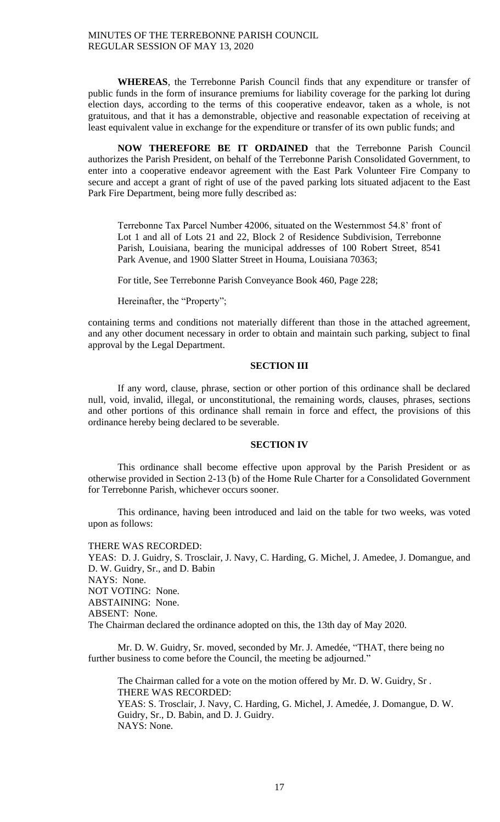**WHEREAS**, the Terrebonne Parish Council finds that any expenditure or transfer of public funds in the form of insurance premiums for liability coverage for the parking lot during election days, according to the terms of this cooperative endeavor, taken as a whole, is not gratuitous, and that it has a demonstrable, objective and reasonable expectation of receiving at least equivalent value in exchange for the expenditure or transfer of its own public funds; and

**NOW THEREFORE BE IT ORDAINED** that the Terrebonne Parish Council authorizes the Parish President, on behalf of the Terrebonne Parish Consolidated Government, to enter into a cooperative endeavor agreement with the East Park Volunteer Fire Company to secure and accept a grant of right of use of the paved parking lots situated adjacent to the East Park Fire Department, being more fully described as:

Terrebonne Tax Parcel Number 42006, situated on the Westernmost 54.8' front of Lot 1 and all of Lots 21 and 22, Block 2 of Residence Subdivision, Terrebonne Parish, Louisiana, bearing the municipal addresses of 100 Robert Street, 8541 Park Avenue, and 1900 Slatter Street in Houma, Louisiana 70363;

For title, See Terrebonne Parish Conveyance Book 460, Page 228;

Hereinafter, the "Property";

containing terms and conditions not materially different than those in the attached agreement, and any other document necessary in order to obtain and maintain such parking, subject to final approval by the Legal Department.

#### **SECTION III**

If any word, clause, phrase, section or other portion of this ordinance shall be declared null, void, invalid, illegal, or unconstitutional, the remaining words, clauses, phrases, sections and other portions of this ordinance shall remain in force and effect, the provisions of this ordinance hereby being declared to be severable.

## **SECTION IV**

This ordinance shall become effective upon approval by the Parish President or as otherwise provided in Section 2-13 (b) of the Home Rule Charter for a Consolidated Government for Terrebonne Parish, whichever occurs sooner.

This ordinance, having been introduced and laid on the table for two weeks, was voted upon as follows:

THERE WAS RECORDED: YEAS: D. J. Guidry, S. Trosclair, J. Navy, C. Harding, G. Michel, J. Amedee, J. Domangue, and D. W. Guidry, Sr., and D. Babin NAYS: None. NOT VOTING: None. ABSTAINING: None. ABSENT: None. The Chairman declared the ordinance adopted on this, the 13th day of May 2020.

Mr. D. W. Guidry, Sr. moved, seconded by Mr. J. Amedée, "THAT, there being no further business to come before the Council, the meeting be adjourned."

The Chairman called for a vote on the motion offered by Mr. D. W. Guidry, Sr . THERE WAS RECORDED: YEAS: S. Trosclair, J. Navy, C. Harding, G. Michel, J. Amedée, J. Domangue, D. W. Guidry, Sr., D. Babin, and D. J. Guidry. NAYS: None.